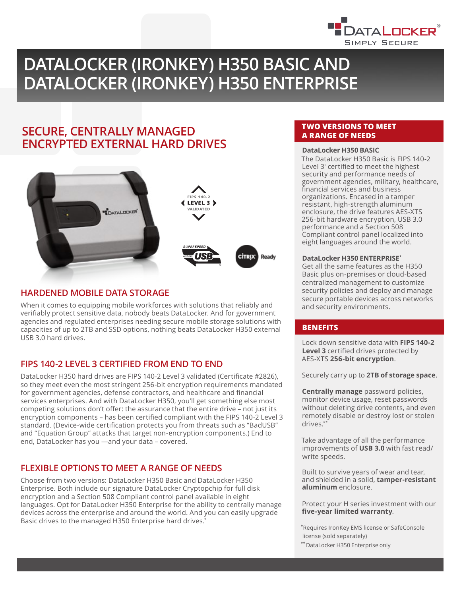

# **DATALOCKER (IRONKEY) H350 BASIC AND DATALOCKER (IRONKEY) H350 ENTERPRISE**

## **SECURE, CENTRALLY MANAGED ENCRYPTED EXTERNAL HARD DRIVES**



## **HARDENED MOBILE DATA STORAGE**

When it comes to equipping mobile workforces with solutions that reliably and verifiably protect sensitive data, nobody beats DataLocker. And for government agencies and regulated enterprises needing secure mobile storage solutions with capacities of up to 2TB and SSD options, nothing beats DataLocker H350 external USB 3.0 hard drives.

## **FIPS 140-2 LEVEL 3 CERTIFIED FROM END TO END**

DataLocker H350 hard drives are FIPS 140-2 Level 3 validated (Certificate #2826), so they meet even the most stringent 256-bit encryption requirements mandated for government agencies, defense contractors, and healthcare and financial services enterprises. And with DataLocker H350, you'll get something else most competing solutions don't offer: the assurance that the entire drive – not just its encryption components – has been certified compliant with the FIPS 140-2 Level 3 standard. (Device-wide certification protects you from threats such as "BadUSB" and "Equation Group" attacks that target non-encryption components.) End to end, DataLocker has you —and your data – covered.

## **FLEXIBLE OPTIONS TO MEET A RANGE OF NEEDS**

Choose from two versions: DataLocker H350 Basic and DataLocker H350 Enterprise. Both include our signature DataLocker Cryptopchip for full disk encryption and a Section 508 Compliant control panel available in eight languages. Opt for DataLocker H350 Enterprise for the ability to centrally manage devices across the enterprise and around the world. And you can easily upgrade Basic drives to the managed H350 Enterprise hard drives.<sup>\*</sup>

## **TWO VERSIONS TO MEET A RANGE OF NEEDS**

## DataLocker H350 BASIC

The DataLocker H350 Basic is FIPS 140-2 Level 3<sup>*'*</sup> certified to meet the highest security and performance needs of government agencies, military, healthcare, financial services and business organizations. Encased in a tamper resistant, high-strength aluminum enclosure, the drive features AES-XTS 256-bit hardware encryption, USB 3.0 performance and a Section 508 Compliant control panel localized into eight languages around the world.

### **DataLocker H350 ENTERPRISE\***

Get all the same features as the H350 Basic plus on-premises or cloud-based centralized management to customize security policies and deploy and manage secure portable devices across networks and security environments.

## **BENEFITS**

Lock down sensitive data with **FIPS 140-2 Level 3** certified drives protected by AES-XTS **256-bit encryption**.

Securely carry up to **2TB of storage space.**

**Centrally manage** password policies, monitor device usage, reset passwords without deleting drive contents, and even remotely disable or destroy lost or stolen drives.\*\*

Take advantage of all the performance improvements of **USB 3.0** with fast read/ write speeds.

Built to survive years of wear and tear, and shielded in a solid, **tamper-resistant aluminum** enclosure.

Protect your H series investment with our **five-year limited warranty**.

\*Requires IronKey EMS license or SafeConsole license (sold separately)

\*\* DataLocker H350 Enterprise only